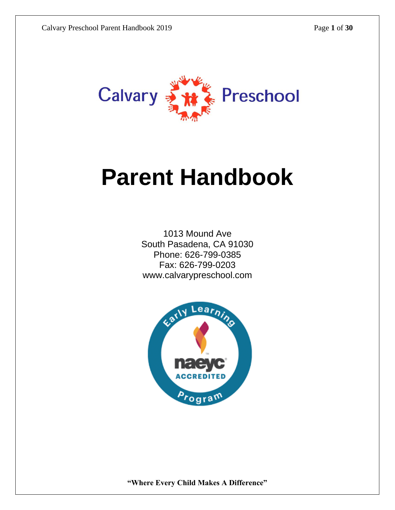

# **Parent Handbook**

1013 Mound Ave South Pasadena, CA 91030 Phone: 626-799-0385 Fax: 626-799-0203 www.calvarypreschool.com

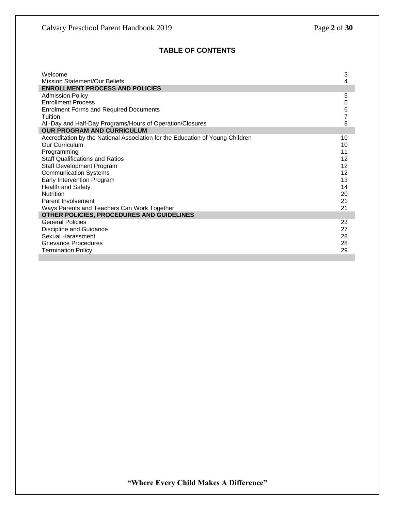#### **TABLE OF CONTENTS**

| Welcome                                                                       | 3              |
|-------------------------------------------------------------------------------|----------------|
| <b>Mission Statement/Our Beliefs</b>                                          | 4              |
| <b>ENROLLMENT PROCESS AND POLICIES</b>                                        |                |
| <b>Admission Policy</b>                                                       | 5              |
| <b>Enrollment Process</b>                                                     | 5              |
| <b>Enrolment Forms and Required Documents</b>                                 | 6              |
| Tuition                                                                       | $\overline{7}$ |
| All-Day and Half-Day Programs/Hours of Operation/Closures                     | 8              |
| <b>OUR PROGRAM AND CURRICULUM</b>                                             |                |
| Accreditation by the National Association for the Education of Young Children | 10             |
| Our Curriculum                                                                | 10             |
| Programming                                                                   | 11             |
| <b>Staff Qualifications and Ratios</b>                                        | 12             |
| Staff Development Program                                                     | 12             |
| <b>Communication Systems</b>                                                  | 12             |
| Early Intervention Program                                                    | 13             |
| Health and Safety                                                             | 14             |
| <b>Nutrition</b>                                                              | 20             |
| Parent Involvement                                                            | 21             |
| Ways Parents and Teachers Can Work Together                                   | 21             |
| OTHER POLICIES, PROCEDURES AND GUIDELINES                                     |                |
| <b>General Policies</b>                                                       | 23             |
| Discipline and Guidance                                                       | 27             |
| Sexual Harassment                                                             | 28             |
| Grievance Procedures                                                          | 28             |
| <b>Termination Policy</b>                                                     | 29             |
|                                                                               |                |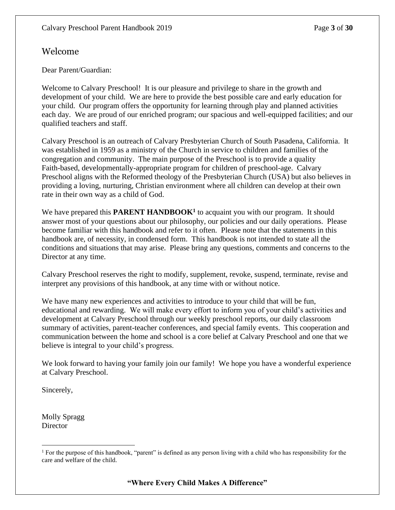# Welcome

Dear Parent/Guardian:

Welcome to Calvary Preschool! It is our pleasure and privilege to share in the growth and development of your child. We are here to provide the best possible care and early education for your child. Our program offers the opportunity for learning through play and planned activities each day. We are proud of our enriched program; our spacious and well-equipped facilities; and our qualified teachers and staff.

Calvary Preschool is an outreach of Calvary Presbyterian Church of South Pasadena, California. It was established in 1959 as a ministry of the Church in service to children and families of the congregation and community. The main purpose of the Preschool is to provide a quality Faith-based, developmentally-appropriate program for children of preschool-age. Calvary Preschool aligns with the Reformed theology of the Presbyterian Church (USA) but also believes in providing a loving, nurturing, Christian environment where all children can develop at their own rate in their own way as a child of God.

We have prepared this **PARENT HANDBOOK<sup>1</sup>** to acquaint you with our program. It should answer most of your questions about our philosophy, our policies and our daily operations. Please become familiar with this handbook and refer to it often. Please note that the statements in this handbook are, of necessity, in condensed form. This handbook is not intended to state all the conditions and situations that may arise. Please bring any questions, comments and concerns to the Director at any time.

Calvary Preschool reserves the right to modify, supplement, revoke, suspend, terminate, revise and interpret any provisions of this handbook, at any time with or without notice.

We have many new experiences and activities to introduce to your child that will be fun, educational and rewarding. We will make every effort to inform you of your child's activities and development at Calvary Preschool through our weekly preschool reports, our daily classroom summary of activities, parent-teacher conferences, and special family events. This cooperation and communication between the home and school is a core belief at Calvary Preschool and one that we believe is integral to your child's progress.

We look forward to having your family join our family! We hope you have a wonderful experience at Calvary Preschool.

Sincerely,

Molly Spragg **Director** 

<sup>&</sup>lt;sup>1</sup> For the purpose of this handbook, "parent" is defined as any person living with a child who has responsibility for the care and welfare of the child.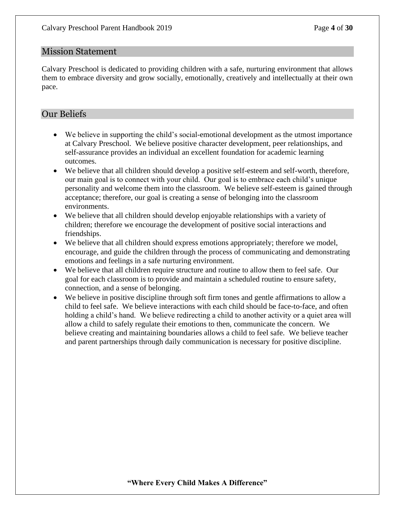#### Mission Statement

Calvary Preschool is dedicated to providing children with a safe, nurturing environment that allows them to embrace diversity and grow socially, emotionally, creatively and intellectually at their own pace.

# Our Beliefs

- We believe in supporting the child's social-emotional development as the utmost importance at Calvary Preschool. We believe positive character development, peer relationships, and self-assurance provides an individual an excellent foundation for academic learning outcomes.
- We believe that all children should develop a positive self-esteem and self-worth, therefore, our main goal is to connect with your child. Our goal is to embrace each child's unique personality and welcome them into the classroom. We believe self-esteem is gained through acceptance; therefore, our goal is creating a sense of belonging into the classroom environments.
- We believe that all children should develop enjoyable relationships with a variety of children; therefore we encourage the development of positive social interactions and friendships.
- We believe that all children should express emotions appropriately; therefore we model, encourage, and guide the children through the process of communicating and demonstrating emotions and feelings in a safe nurturing environment.
- We believe that all children require structure and routine to allow them to feel safe. Our goal for each classroom is to provide and maintain a scheduled routine to ensure safety, connection, and a sense of belonging.
- We believe in positive discipline through soft firm tones and gentle affirmations to allow a child to feel safe. We believe interactions with each child should be face-to-face, and often holding a child's hand. We believe redirecting a child to another activity or a quiet area will allow a child to safely regulate their emotions to then, communicate the concern. We believe creating and maintaining boundaries allows a child to feel safe. We believe teacher and parent partnerships through daily communication is necessary for positive discipline.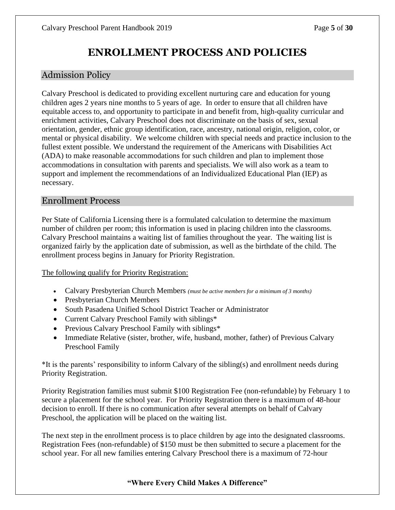# **ENROLLMENT PROCESS AND POLICIES**

# Admission Policy

Calvary Preschool is dedicated to providing excellent nurturing care and education for young children ages 2 years nine months to 5 years of age. In order to ensure that all children have equitable access to, and opportunity to participate in and benefit from, high-quality curricular and enrichment activities, Calvary Preschool does not discriminate on the basis of sex, sexual orientation, gender, ethnic group identification, race, ancestry, national origin, religion, color, or mental or physical disability. We welcome children with special needs and practice inclusion to the fullest extent possible. We understand the requirement of the Americans with Disabilities Act (ADA) to make reasonable accommodations for such children and plan to implement those accommodations in consultation with parents and specialists. We will also work as a team to support and implement the recommendations of an Individualized Educational Plan (IEP) as necessary.

#### Enrollment Process

Per State of California Licensing there is a formulated calculation to determine the maximum number of children per room; this information is used in placing children into the classrooms. Calvary Preschool maintains a waiting list of families throughout the year. The waiting list is organized fairly by the application date of submission, as well as the birthdate of the child. The enrollment process begins in January for Priority Registration.

The following qualify for Priority Registration:

- Calvary Presbyterian Church Members *(must be active members for a minimum of 3 months)*
- Presbyterian Church Members
- South Pasadena Unified School District Teacher or Administrator
- Current Calvary Preschool Family with siblings\*
- Previous Calvary Preschool Family with siblings\*
- Immediate Relative (sister, brother, wife, husband, mother, father) of Previous Calvary Preschool Family

\*It is the parents' responsibility to inform Calvary of the sibling(s) and enrollment needs during Priority Registration.

Priority Registration families must submit \$100 Registration Fee (non-refundable) by February 1 to secure a placement for the school year. For Priority Registration there is a maximum of 48-hour decision to enroll. If there is no communication after several attempts on behalf of Calvary Preschool, the application will be placed on the waiting list.

The next step in the enrollment process is to place children by age into the designated classrooms. Registration Fees (non-refundable) of \$150 must be then submitted to secure a placement for the school year. For all new families entering Calvary Preschool there is a maximum of 72-hour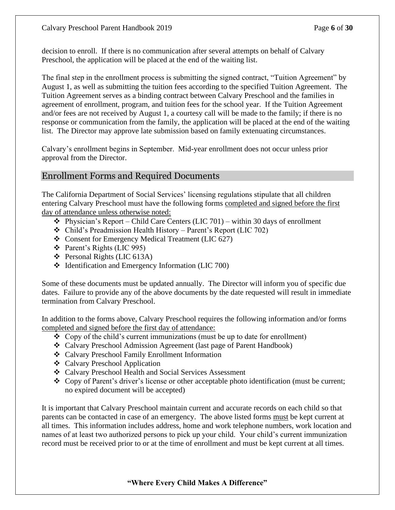decision to enroll. If there is no communication after several attempts on behalf of Calvary Preschool, the application will be placed at the end of the waiting list.

The final step in the enrollment process is submitting the signed contract, "Tuition Agreement" by August 1, as well as submitting the tuition fees according to the specified Tuition Agreement. The Tuition Agreement serves as a binding contract between Calvary Preschool and the families in agreement of enrollment, program, and tuition fees for the school year. If the Tuition Agreement and/or fees are not received by August 1, a courtesy call will be made to the family; if there is no response or communication from the family, the application will be placed at the end of the waiting list. The Director may approve late submission based on family extenuating circumstances.

Calvary's enrollment begins in September. Mid-year enrollment does not occur unless prior approval from the Director.

# Enrollment Forms and Required Documents

The California Department of Social Services' licensing regulations stipulate that all children entering Calvary Preschool must have the following forms completed and signed before the first day of attendance unless otherwise noted:

- $\triangleleft$  Physician's Report Child Care Centers (LIC 701) within 30 days of enrollment
- ❖ Child's Preadmission Health History Parent's Report (LIC 702)
- ❖ Consent for Emergency Medical Treatment (LIC 627)
- ❖ Parent's Rights (LIC 995)
- ❖ Personal Rights (LIC 613A)
- ❖ Identification and Emergency Information (LIC 700)

Some of these documents must be updated annually. The Director will inform you of specific due dates. Failure to provide any of the above documents by the date requested will result in immediate termination from Calvary Preschool.

In addition to the forms above, Calvary Preschool requires the following information and/or forms completed and signed before the first day of attendance:

- ❖ Copy of the child's current immunizations (must be up to date for enrollment)
- ❖ Calvary Preschool Admission Agreement (last page of Parent Handbook)
- ❖ Calvary Preschool Family Enrollment Information
- ❖ Calvary Preschool Application
- ❖ Calvary Preschool Health and Social Services Assessment
- ❖ Copy of Parent's driver's license or other acceptable photo identification (must be current; no expired document will be accepted)

It is important that Calvary Preschool maintain current and accurate records on each child so that parents can be contacted in case of an emergency. The above listed forms must be kept current at all times. This information includes address, home and work telephone numbers, work location and names of at least two authorized persons to pick up your child. Your child's current immunization record must be received prior to or at the time of enrollment and must be kept current at all times.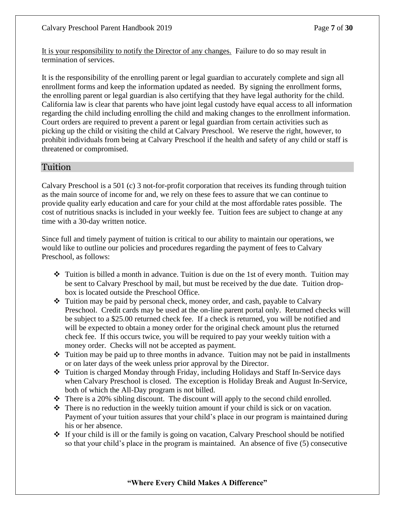It is your responsibility to notify the Director of any changes. Failure to do so may result in termination of services.

It is the responsibility of the enrolling parent or legal guardian to accurately complete and sign all enrollment forms and keep the information updated as needed. By signing the enrollment forms, the enrolling parent or legal guardian is also certifying that they have legal authority for the child. California law is clear that parents who have joint legal custody have equal access to all information regarding the child including enrolling the child and making changes to the enrollment information. Court orders are required to prevent a parent or legal guardian from certain activities such as picking up the child or visiting the child at Calvary Preschool. We reserve the right, however, to prohibit individuals from being at Calvary Preschool if the health and safety of any child or staff is threatened or compromised.

# Tuition

Calvary Preschool is a 501 (c) 3 not-for-profit corporation that receives its funding through tuition as the main source of income for and, we rely on these fees to assure that we can continue to provide quality early education and care for your child at the most affordable rates possible. The cost of nutritious snacks is included in your weekly fee. Tuition fees are subject to change at any time with a 30-day written notice.

Since full and timely payment of tuition is critical to our ability to maintain our operations, we would like to outline our policies and procedures regarding the payment of fees to Calvary Preschool, as follows:

- $\triangle$  Tuition is billed a month in advance. Tuition is due on the 1st of every month. Tuition may be sent to Calvary Preschool by mail, but must be received by the due date. Tuition dropbox is located outside the Preschool Office.
- ❖ Tuition may be paid by personal check, money order, and cash, payable to Calvary Preschool. Credit cards may be used at the on-line parent portal only. Returned checks will be subject to a \$25.00 returned check fee. If a check is returned, you will be notified and will be expected to obtain a money order for the original check amount plus the returned check fee. If this occurs twice, you will be required to pay your weekly tuition with a money order. Checks will not be accepted as payment.
- $\cdot \cdot$  Tuition may be paid up to three months in advance. Tuition may not be paid in installments or on later days of the week unless prior approval by the Director.
- ❖ Tuition is charged Monday through Friday, including Holidays and Staff In-Service days when Calvary Preschool is closed. The exception is Holiday Break and August In-Service, both of which the All-Day program is not billed.
- $\div$  There is a 20% sibling discount. The discount will apply to the second child enrolled.
- ❖ There is no reduction in the weekly tuition amount if your child is sick or on vacation. Payment of your tuition assures that your child's place in our program is maintained during his or her absence.
- ❖ If your child is ill or the family is going on vacation, Calvary Preschool should be notified so that your child's place in the program is maintained. An absence of five (5) consecutive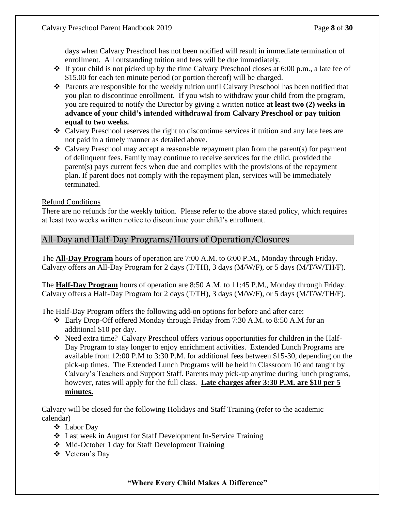days when Calvary Preschool has not been notified will result in immediate termination of enrollment. All outstanding tuition and fees will be due immediately.

- ❖ If your child is not picked up by the time Calvary Preschool closes at 6:00 p.m., a late fee of \$15.00 for each ten minute period (or portion thereof) will be charged.
- ❖ Parents are responsible for the weekly tuition until Calvary Preschool has been notified that you plan to discontinue enrollment. If you wish to withdraw your child from the program, you are required to notify the Director by giving a written notice **at least two (2) weeks in advance of your child's intended withdrawal from Calvary Preschool or pay tuition equal to two weeks.**
- ❖ Calvary Preschool reserves the right to discontinue services if tuition and any late fees are not paid in a timely manner as detailed above.
- ❖ Calvary Preschool may accept a reasonable repayment plan from the parent(s) for payment of delinquent fees. Family may continue to receive services for the child, provided the parent(s) pays current fees when due and complies with the provisions of the repayment plan. If parent does not comply with the repayment plan, services will be immediately terminated.

#### Refund Conditions

There are no refunds for the weekly tuition. Please refer to the above stated policy, which requires at least two weeks written notice to discontinue your child's enrollment.

# All-Day and Half-Day Programs/Hours of Operation/Closures

The **All-Day Program** hours of operation are 7:00 A.M. to 6:00 P.M., Monday through Friday. Calvary offers an All-Day Program for 2 days (T/TH), 3 days (M/W/F), or 5 days (M/T/W/TH/F).

The **Half-Day Program** hours of operation are 8:50 A.M. to 11:45 P.M., Monday through Friday. Calvary offers a Half-Day Program for 2 days (T/TH), 3 days (M/W/F), or 5 days (M/T/W/TH/F).

The Half-Day Program offers the following add-on options for before and after care:

- ❖ Early Drop-Off offered Monday through Friday from 7:30 A.M. to 8:50 A.M for an additional \$10 per day.
- ❖ Need extra time? Calvary Preschool offers various opportunities for children in the Half-Day Program to stay longer to enjoy enrichment activities. Extended Lunch Programs are available from 12:00 P.M to 3:30 P.M. for additional fees between \$15-30, depending on the pick-up times. The Extended Lunch Programs will be held in Classroom 10 and taught by Calvary's Teachers and Support Staff. Parents may pick-up anytime during lunch programs, however, rates will apply for the full class. **Late charges after 3:30 P.M. are \$10 per 5 minutes.**

Calvary will be closed for the following Holidays and Staff Training (refer to the academic calendar)

- ❖ Labor Day
- ❖ Last week in August for Staff Development In-Service Training
- ❖ Mid-October 1 day for Staff Development Training
- ❖ Veteran's Day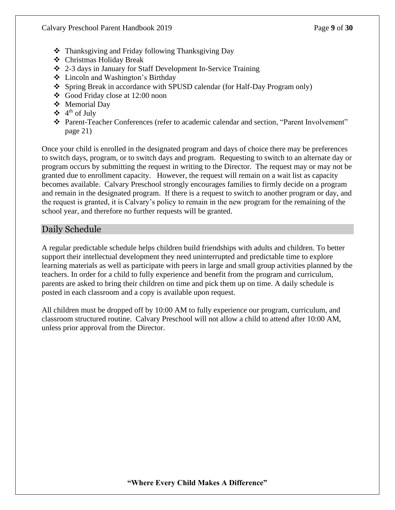- ❖ Thanksgiving and Friday following Thanksgiving Day
- ❖ Christmas Holiday Break
- ❖ 2-3 days in January for Staff Development In-Service Training
- ❖ Lincoln and Washington's Birthday
- ❖ Spring Break in accordance with SPUSD calendar (for Half-Day Program only)
- ❖ Good Friday close at 12:00 noon
- ❖ Memorial Day
- $\div$  4<sup>th</sup> of July
- ❖ Parent-Teacher Conferences (refer to academic calendar and section, "Parent Involvement" page 21)

Once your child is enrolled in the designated program and days of choice there may be preferences to switch days, program, or to switch days and program. Requesting to switch to an alternate day or program occurs by submitting the request in writing to the Director. The request may or may not be granted due to enrollment capacity. However, the request will remain on a wait list as capacity becomes available. Calvary Preschool strongly encourages families to firmly decide on a program and remain in the designated program. If there is a request to switch to another program or day, and the request is granted, it is Calvary's policy to remain in the new program for the remaining of the school year, and therefore no further requests will be granted.

# Daily Schedule

A regular predictable schedule helps children build friendships with adults and children. To better support their intellectual development they need uninterrupted and predictable time to explore learning materials as well as participate with peers in large and small group activities planned by the teachers. In order for a child to fully experience and benefit from the program and curriculum, parents are asked to bring their children on time and pick them up on time. A daily schedule is posted in each classroom and a copy is available upon request.

All children must be dropped off by 10:00 AM to fully experience our program, curriculum, and classroom structured routine. Calvary Preschool will not allow a child to attend after 10:00 AM, unless prior approval from the Director.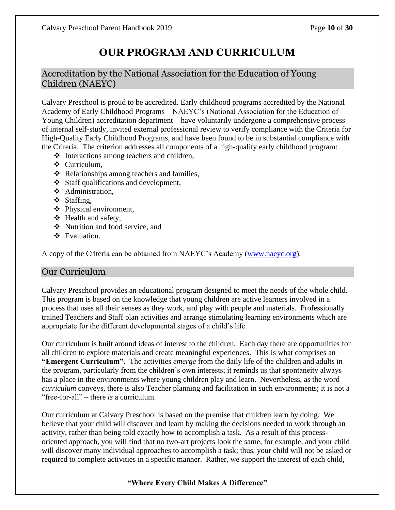# **OUR PROGRAM AND CURRICULUM**

# Accreditation by the National Association for the Education of Young Children (NAEYC)

Calvary Preschool is proud to be accredited. Early childhood programs accredited by the National Academy of Early Childhood Programs—NAEYC's (National Association for the Education of Young Children) accreditation department—have voluntarily undergone a comprehensive process of internal self-study, invited external professional review to verify compliance with the Criteria for High-Quality Early Childhood Programs, and have been found to be in substantial compliance with the Criteria. The criterion addresses all components of a high-quality early childhood program:

- ❖ Interactions among teachers and children,
- ❖ Curriculum,
- ❖ Relationships among teachers and families,
- ❖ Staff qualifications and development,
- ❖ Administration,
- ❖ Staffing,
- ❖ Physical environment,
- ❖ Health and safety,
- ❖ Nutrition and food service, and
- ❖ Evaluation.

A copy of the Criteria can be obtained from NAEYC's Academy [\(www.naeyc.org\)](http://www.naeyc.org/).

# Our Curriculum

Calvary Preschool provides an educational program designed to meet the needs of the whole child. This program is based on the knowledge that young children are active learners involved in a process that uses all their senses as they work, and play with people and materials. Professionally trained Teachers and Staff plan activities and arrange stimulating learning environments which are appropriate for the different developmental stages of a child's life.

Our curriculum is built around ideas of interest to the children. Each day there are opportunities for all children to explore materials and create meaningful experiences. This is what comprises an **"Emergent Curriculum"**. The activities *emerge* from the daily life of the children and adults in the program, particularly from the children's own interests; it reminds us that spontaneity always has a place in the environments where young children play and learn. Nevertheless, as the word *curriculum* conveys, there is also Teacher planning and facilitation in such environments; it is not a "free-for-all" – there *is* a curriculum.

Our curriculum at Calvary Preschool is based on the premise that children learn by doing. We believe that your child will discover and learn by making the decisions needed to work through an activity, rather than being told exactly how to accomplish a task. As a result of this processoriented approach, you will find that no two-art projects look the same, for example, and your child will discover many individual approaches to accomplish a task; thus, your child will not be asked or required to complete activities in a specific manner. Rather, we support the interest of each child,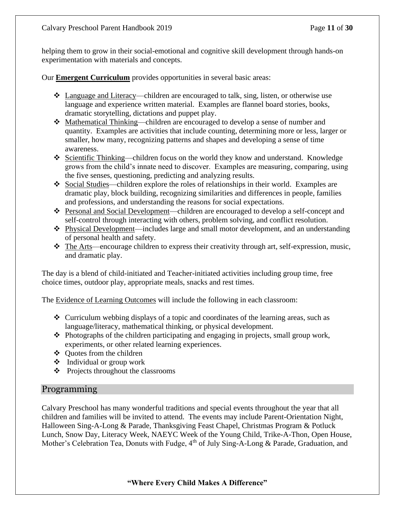helping them to grow in their social-emotional and cognitive skill development through hands-on experimentation with materials and concepts.

Our **Emergent Curriculum** provides opportunities in several basic areas:

- ❖ Language and Literacy—children are encouraged to talk, sing, listen, or otherwise use language and experience written material. Examples are flannel board stories, books, dramatic storytelling, dictations and puppet play.
- ❖ Mathematical Thinking—children are encouraged to develop a sense of number and quantity. Examples are activities that include counting, determining more or less, larger or smaller, how many, recognizing patterns and shapes and developing a sense of time awareness.
- ❖ Scientific Thinking—children focus on the world they know and understand. Knowledge grows from the child's innate need to discover. Examples are measuring, comparing, using the five senses, questioning, predicting and analyzing results.
- ❖ Social Studies—children explore the roles of relationships in their world. Examples are dramatic play, block building, recognizing similarities and differences in people, families and professions, and understanding the reasons for social expectations.
- ❖ Personal and Social Development—children are encouraged to develop a self-concept and self-control through interacting with others, problem solving, and conflict resolution.
- ❖ Physical Development—includes large and small motor development, and an understanding of personal health and safety.
- ❖ The Arts—encourage children to express their creativity through art, self-expression, music, and dramatic play.

The day is a blend of child-initiated and Teacher-initiated activities including group time, free choice times, outdoor play, appropriate meals, snacks and rest times.

The Evidence of Learning Outcomes will include the following in each classroom:

- ❖ Curriculum webbing displays of a topic and coordinates of the learning areas, such as language/literacy, mathematical thinking, or physical development.
- $\triangle$  Photographs of the children participating and engaging in projects, small group work, experiments, or other related learning experiences.
- ❖ Quotes from the children
- ❖ Individual or group work
- ❖ Projects throughout the classrooms

#### Programming

Calvary Preschool has many wonderful traditions and special events throughout the year that all children and families will be invited to attend. The events may include Parent-Orientation Night, Halloween Sing-A-Long & Parade, Thanksgiving Feast Chapel, Christmas Program & Potluck Lunch, Snow Day, Literacy Week, NAEYC Week of the Young Child, Trike-A-Thon, Open House, Mother's Celebration Tea, Donuts with Fudge, 4<sup>th</sup> of July Sing-A-Long & Parade, Graduation, and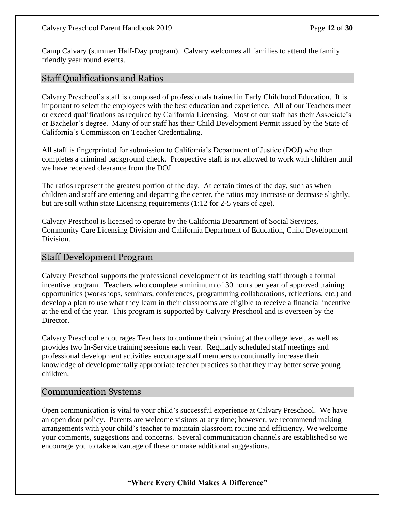Camp Calvary (summer Half-Day program). Calvary welcomes all families to attend the family friendly year round events.

#### Staff Qualifications and Ratios

Calvary Preschool's staff is composed of professionals trained in Early Childhood Education. It is important to select the employees with the best education and experience. All of our Teachers meet or exceed qualifications as required by California Licensing. Most of our staff has their Associate's or Bachelor's degree. Many of our staff has their Child Development Permit issued by the State of California's Commission on Teacher Credentialing.

All staff is fingerprinted for submission to California's Department of Justice (DOJ) who then completes a criminal background check. Prospective staff is not allowed to work with children until we have received clearance from the DOJ.

The ratios represent the greatest portion of the day. At certain times of the day, such as when children and staff are entering and departing the center, the ratios may increase or decrease slightly, but are still within state Licensing requirements (1:12 for 2-5 years of age).

Calvary Preschool is licensed to operate by the California Department of Social Services, Community Care Licensing Division and California Department of Education, Child Development Division.

#### Staff Development Program

Calvary Preschool supports the professional development of its teaching staff through a formal incentive program. Teachers who complete a minimum of 30 hours per year of approved training opportunities (workshops, seminars, conferences, programming collaborations, reflections, etc.) and develop a plan to use what they learn in their classrooms are eligible to receive a financial incentive at the end of the year. This program is supported by Calvary Preschool and is overseen by the Director.

Calvary Preschool encourages Teachers to continue their training at the college level, as well as provides two In-Service training sessions each year. Regularly scheduled staff meetings and professional development activities encourage staff members to continually increase their knowledge of developmentally appropriate teacher practices so that they may better serve young children.

#### Communication Systems

Open communication is vital to your child's successful experience at Calvary Preschool. We have an open door policy. Parents are welcome visitors at any time; however, we recommend making arrangements with your child's teacher to maintain classroom routine and efficiency. We welcome your comments, suggestions and concerns. Several communication channels are established so we encourage you to take advantage of these or make additional suggestions.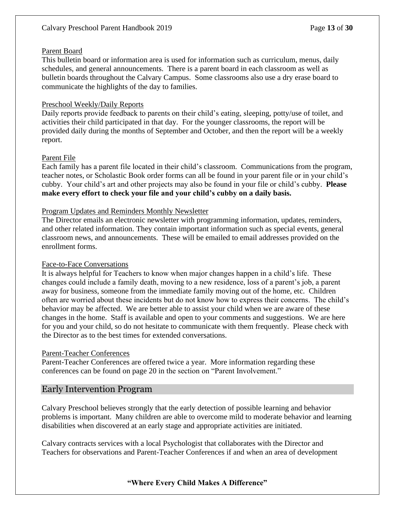#### Parent Board

This bulletin board or information area is used for information such as curriculum, menus, daily schedules, and general announcements. There is a parent board in each classroom as well as bulletin boards throughout the Calvary Campus. Some classrooms also use a dry erase board to communicate the highlights of the day to families.

#### Preschool Weekly/Daily Reports

Daily reports provide feedback to parents on their child's eating, sleeping, potty/use of toilet, and activities their child participated in that day. For the younger classrooms, the report will be provided daily during the months of September and October, and then the report will be a weekly report.

#### Parent File

Each family has a parent file located in their child's classroom. Communications from the program, teacher notes, or Scholastic Book order forms can all be found in your parent file or in your child's cubby. Your child's art and other projects may also be found in your file or child's cubby. **Please make every effort to check your file and your child's cubby on a daily basis.**

#### Program Updates and Reminders Monthly Newsletter

The Director emails an electronic newsletter with programming information, updates, reminders, and other related information. They contain important information such as special events, general classroom news, and announcements. These will be emailed to email addresses provided on the enrollment forms.

#### Face-to-Face Conversations

It is always helpful for Teachers to know when major changes happen in a child's life. These changes could include a family death, moving to a new residence, loss of a parent's job, a parent away for business, someone from the immediate family moving out of the home, etc. Children often are worried about these incidents but do not know how to express their concerns. The child's behavior may be affected. We are better able to assist your child when we are aware of these changes in the home. Staff is available and open to your comments and suggestions. We are here for you and your child, so do not hesitate to communicate with them frequently. Please check with the Director as to the best times for extended conversations.

#### Parent-Teacher Conferences

Parent-Teacher Conferences are offered twice a year. More information regarding these conferences can be found on page 20 in the section on "Parent Involvement."

#### Early Intervention Program

Calvary Preschool believes strongly that the early detection of possible learning and behavior problems is important. Many children are able to overcome mild to moderate behavior and learning disabilities when discovered at an early stage and appropriate activities are initiated.

Calvary contracts services with a local Psychologist that collaborates with the Director and Teachers for observations and Parent-Teacher Conferences if and when an area of development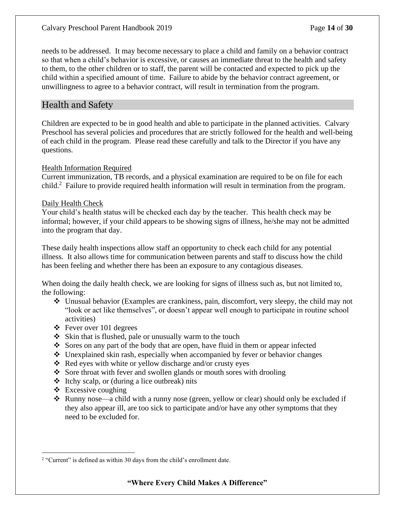needs to be addressed. It may become necessary to place a child and family on a behavior contract so that when a child's behavior is excessive, or causes an immediate threat to the health and safety to them, to the other children or to staff, the parent will be contacted and expected to pick up the child within a specified amount of time. Failure to abide by the behavior contract agreement, or unwillingness to agree to a behavior contract, will result in termination from the program.

#### Health and Safety

Children are expected to be in good health and able to participate in the planned activities. Calvary Preschool has several policies and procedures that are strictly followed for the health and well-being of each child in the program. Please read these carefully and talk to the Director if you have any questions.

#### Health Information Required

Current immunization, TB records, and a physical examination are required to be on file for each child.<sup>2</sup> Failure to provide required health information will result in termination from the program.

#### Daily Health Check

Your child's health status will be checked each day by the teacher. This health check may be informal; however, if your child appears to be showing signs of illness, he/she may not be admitted into the program that day.

These daily health inspections allow staff an opportunity to check each child for any potential illness. It also allows time for communication between parents and staff to discuss how the child has been feeling and whether there has been an exposure to any contagious diseases.

When doing the daily health check, we are looking for signs of illness such as, but not limited to, the following:

- ❖ Unusual behavior (Examples are crankiness, pain, discomfort, very sleepy, the child may not "look or act like themselves", or doesn't appear well enough to participate in routine school activities)
- $\div$  Fever over 101 degrees
- ❖ Skin that is flushed, pale or unusually warm to the touch
- ❖ Sores on any part of the body that are open, have fluid in them or appear infected
- ❖ Unexplained skin rash, especially when accompanied by fever or behavior changes
- ❖ Red eyes with white or yellow discharge and/or crusty eyes
- ❖ Sore throat with fever and swollen glands or mouth sores with drooling
- ❖ Itchy scalp, or (during a lice outbreak) nits
- $\triangleleft$  Excessive coughing
- ❖ Runny nose—a child with a runny nose (green, yellow or clear) should only be excluded if they also appear ill, are too sick to participate and/or have any other symptoms that they need to be excluded for.

<sup>&</sup>lt;sup>2</sup> "Current" is defined as within 30 days from the child's enrollment date.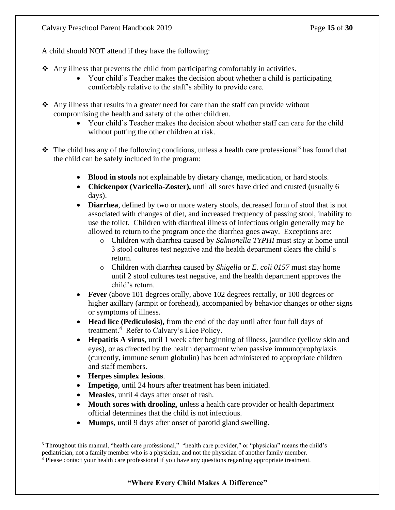A child should NOT attend if they have the following:

- $\triangle$  Any illness that prevents the child from participating comfortably in activities.
	- Your child's Teacher makes the decision about whether a child is participating comfortably relative to the staff's ability to provide care.
- ❖ Any illness that results in a greater need for care than the staff can provide without compromising the health and safety of the other children.
	- Your child's Teacher makes the decision about whether staff can care for the child without putting the other children at risk.
- ❖ The child has any of the following conditions, unless a health care professional<sup>3</sup> has found that the child can be safely included in the program:
	- **Blood in stools** not explainable by dietary change, medication, or hard stools.
	- **Chickenpox (Varicella-Zoster),** until all sores have dried and crusted (usually 6 days).
	- **Diarrhea**, defined by two or more watery stools, decreased form of stool that is not associated with changes of diet, and increased frequency of passing stool, inability to use the toilet. Children with diarrheal illness of infectious origin generally may be allowed to return to the program once the diarrhea goes away. Exceptions are:
		- o Children with diarrhea caused by *Salmonella TYPHI* must stay at home until 3 stool cultures test negative and the health department clears the child's return.
		- o Children with diarrhea caused by *Shigella* or *E. coli 0157* must stay home until 2 stool cultures test negative, and the health department approves the child's return.
	- **Fever** (above 101 degrees orally, above 102 degrees rectally, or 100 degrees or higher axillary (armpit or forehead), accompanied by behavior changes or other signs or symptoms of illness.
	- **Head lice (Pediculosis),** from the end of the day until after four full days of treatment.<sup>4</sup> Refer to Calvary's Lice Policy.
	- **Hepatitis A virus**, until 1 week after beginning of illness, jaundice (yellow skin and eyes), or as directed by the health department when passive immunoprophylaxis (currently, immune serum globulin) has been administered to appropriate children and staff members.
	- **Herpes simplex lesions**.
	- **Impetigo**, until 24 hours after treatment has been initiated.
	- **Measles**, until 4 days after onset of rash.
	- **Mouth sores with drooling**, unless a health care provider or health department official determines that the child is not infectious.
	- **Mumps**, until 9 days after onset of parotid gland swelling.

<sup>&</sup>lt;sup>3</sup> Throughout this manual, "health care professional," "health care provider," or "physician" means the child's pediatrician, not a family member who is a physician, and not the physician of another family member.

<sup>4</sup> Please contact your health care professional if you have any questions regarding appropriate treatment.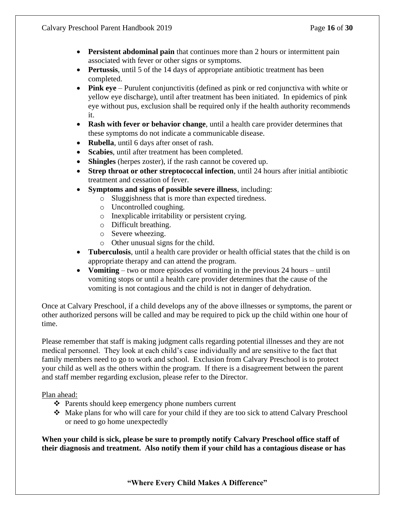- **Persistent abdominal pain** that continues more than 2 hours or intermittent pain associated with fever or other signs or symptoms.
- **Pertussis**, until 5 of the 14 days of appropriate antibiotic treatment has been completed.
- **Pink eye** Purulent conjunctivitis (defined as pink or red conjunctiva with white or yellow eye discharge), until after treatment has been initiated. In epidemics of pink eye without pus, exclusion shall be required only if the health authority recommends it.
- **Rash with fever or behavior change**, until a health care provider determines that these symptoms do not indicate a communicable disease.
- **Rubella**, until 6 days after onset of rash.
- Scabies, until after treatment has been completed.
- **Shingles** (herpes zoster), if the rash cannot be covered up.
- **Strep throat or other streptococcal infection**, until 24 hours after initial antibiotic treatment and cessation of fever.
- **Symptoms and signs of possible severe illness**, including:
	- o Sluggishness that is more than expected tiredness.
	- o Uncontrolled coughing.
	- o Inexplicable irritability or persistent crying.
	- o Difficult breathing.
	- o Severe wheezing.
	- o Other unusual signs for the child.
- **Tuberculosis**, until a health care provider or health official states that the child is on appropriate therapy and can attend the program.
- **Vomiting** two or more episodes of vomiting in the previous 24 hours until vomiting stops or until a health care provider determines that the cause of the vomiting is not contagious and the child is not in danger of dehydration.

Once at Calvary Preschool, if a child develops any of the above illnesses or symptoms, the parent or other authorized persons will be called and may be required to pick up the child within one hour of time.

Please remember that staff is making judgment calls regarding potential illnesses and they are not medical personnel. They look at each child's case individually and are sensitive to the fact that family members need to go to work and school. Exclusion from Calvary Preschool is to protect your child as well as the others within the program. If there is a disagreement between the parent and staff member regarding exclusion, please refer to the Director.

Plan ahead:

- ❖ Parents should keep emergency phone numbers current
- ❖ Make plans for who will care for your child if they are too sick to attend Calvary Preschool or need to go home unexpectedly

**When your child is sick, please be sure to promptly notify Calvary Preschool office staff of their diagnosis and treatment. Also notify them if your child has a contagious disease or has**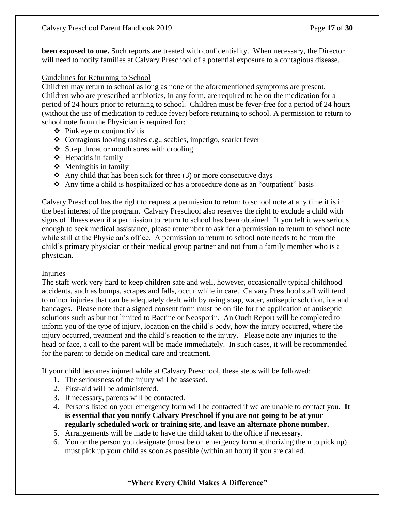**been exposed to one.** Such reports are treated with confidentiality. When necessary, the Director will need to notify families at Calvary Preschool of a potential exposure to a contagious disease.

#### Guidelines for Returning to School

Children may return to school as long as none of the aforementioned symptoms are present. Children who are prescribed antibiotics, in any form, are required to be on the medication for a period of 24 hours prior to returning to school. Children must be fever-free for a period of 24 hours (without the use of medication to reduce fever) before returning to school. A permission to return to school note from the Physician is required for:

- ❖ Pink eye or conjunctivitis
- ❖ Contagious looking rashes e.g., scabies, impetigo, scarlet fever
- ❖ Strep throat or mouth sores with drooling
- $\div$  Hepatitis in family
- $\triangleleft$  Meningitis in family
- $\triangle$  Any child that has been sick for three (3) or more consecutive days
- ❖ Any time a child is hospitalized or has a procedure done as an "outpatient" basis

Calvary Preschool has the right to request a permission to return to school note at any time it is in the best interest of the program. Calvary Preschool also reserves the right to exclude a child with signs of illness even if a permission to return to school has been obtained. If you felt it was serious enough to seek medical assistance, please remember to ask for a permission to return to school note while still at the Physician's office. A permission to return to school note needs to be from the child's primary physician or their medical group partner and not from a family member who is a physician.

#### Injuries

The staff work very hard to keep children safe and well, however, occasionally typical childhood accidents, such as bumps, scrapes and falls, occur while in care. Calvary Preschool staff will tend to minor injuries that can be adequately dealt with by using soap, water, antiseptic solution, ice and bandages. Please note that a signed consent form must be on file for the application of antiseptic solutions such as but not limited to Bactine or Neosporin. An Ouch Report will be completed to inform you of the type of injury, location on the child's body, how the injury occurred, where the injury occurred, treatment and the child's reaction to the injury. Please note any injuries to the head or face, a call to the parent will be made immediately. In such cases, it will be recommended for the parent to decide on medical care and treatment.

If your child becomes injured while at Calvary Preschool, these steps will be followed:

- 1. The seriousness of the injury will be assessed.
- 2. First-aid will be administered.
- 3. If necessary, parents will be contacted.
- 4. Persons listed on your emergency form will be contacted if we are unable to contact you. **It is essential that you notify Calvary Preschool if you are not going to be at your regularly scheduled work or training site, and leave an alternate phone number.**
- 5. Arrangements will be made to have the child taken to the office if necessary.
- 6. You or the person you designate (must be on emergency form authorizing them to pick up) must pick up your child as soon as possible (within an hour) if you are called.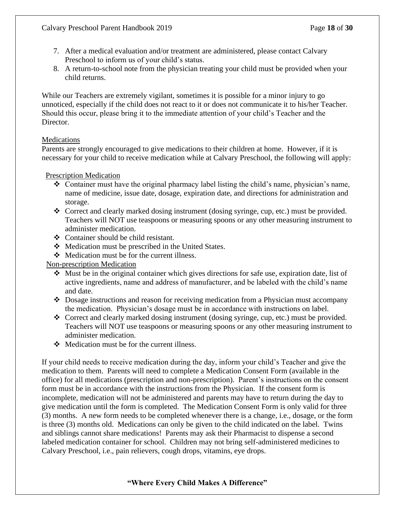- 7. After a medical evaluation and/or treatment are administered, please contact Calvary Preschool to inform us of your child's status.
- 8. A return-to-school note from the physician treating your child must be provided when your child returns.

While our Teachers are extremely vigilant, sometimes it is possible for a minor injury to go unnoticed, especially if the child does not react to it or does not communicate it to his/her Teacher. Should this occur, please bring it to the immediate attention of your child's Teacher and the Director.

#### **Medications**

Parents are strongly encouraged to give medications to their children at home. However, if it is necessary for your child to receive medication while at Calvary Preschool, the following will apply:

Prescription Medication

- ❖ Container must have the original pharmacy label listing the child's name, physician's name, name of medicine, issue date, dosage, expiration date, and directions for administration and storage.
- ❖ Correct and clearly marked dosing instrument (dosing syringe, cup, etc.) must be provided. Teachers will NOT use teaspoons or measuring spoons or any other measuring instrument to administer medication.
- ❖ Container should be child resistant.
- ❖ Medication must be prescribed in the United States.
- ❖ Medication must be for the current illness.

Non-prescription Medication

- ❖ Must be in the original container which gives directions for safe use, expiration date, list of active ingredients, name and address of manufacturer, and be labeled with the child's name and date.
- ❖ Dosage instructions and reason for receiving medication from a Physician must accompany the medication. Physician's dosage must be in accordance with instructions on label.
- ❖ Correct and clearly marked dosing instrument (dosing syringe, cup, etc.) must be provided. Teachers will NOT use teaspoons or measuring spoons or any other measuring instrument to administer medication.
- ❖ Medication must be for the current illness.

If your child needs to receive medication during the day, inform your child's Teacher and give the medication to them. Parents will need to complete a Medication Consent Form (available in the office) for all medications (prescription and non-prescription). Parent's instructions on the consent form must be in accordance with the instructions from the Physician. If the consent form is incomplete, medication will not be administered and parents may have to return during the day to give medication until the form is completed. The Medication Consent Form is only valid for three (3) months. A new form needs to be completed whenever there is a change, i.e., dosage, or the form is three (3) months old. Medications can only be given to the child indicated on the label. Twins and siblings cannot share medications! Parents may ask their Pharmacist to dispense a second labeled medication container for school. Children may not bring self-administered medicines to Calvary Preschool, i.e., pain relievers, cough drops, vitamins, eye drops.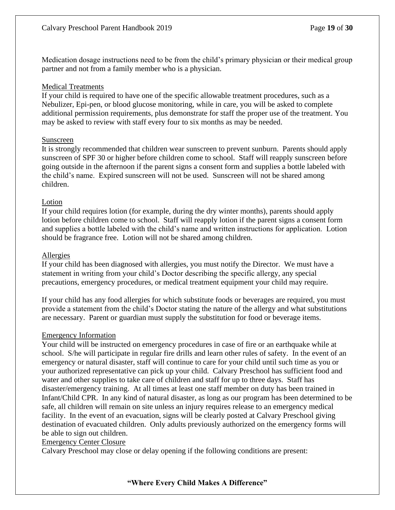Medication dosage instructions need to be from the child's primary physician or their medical group partner and not from a family member who is a physician.

#### Medical Treatments

If your child is required to have one of the specific allowable treatment procedures, such as a Nebulizer, Epi-pen, or blood glucose monitoring, while in care, you will be asked to complete additional permission requirements, plus demonstrate for staff the proper use of the treatment. You may be asked to review with staff every four to six months as may be needed.

#### Sunscreen

It is strongly recommended that children wear sunscreen to prevent sunburn. Parents should apply sunscreen of SPF 30 or higher before children come to school. Staff will reapply sunscreen before going outside in the afternoon if the parent signs a consent form and supplies a bottle labeled with the child's name. Expired sunscreen will not be used. Sunscreen will not be shared among children.

#### Lotion

If your child requires lotion (for example, during the dry winter months), parents should apply lotion before children come to school. Staff will reapply lotion if the parent signs a consent form and supplies a bottle labeled with the child's name and written instructions for application. Lotion should be fragrance free. Lotion will not be shared among children.

#### Allergies

If your child has been diagnosed with allergies, you must notify the Director. We must have a statement in writing from your child's Doctor describing the specific allergy, any special precautions, emergency procedures, or medical treatment equipment your child may require.

If your child has any food allergies for which substitute foods or beverages are required, you must provide a statement from the child's Doctor stating the nature of the allergy and what substitutions are necessary. Parent or guardian must supply the substitution for food or beverage items.

#### Emergency Information

Your child will be instructed on emergency procedures in case of fire or an earthquake while at school. S/he will participate in regular fire drills and learn other rules of safety. In the event of an emergency or natural disaster, staff will continue to care for your child until such time as you or your authorized representative can pick up your child. Calvary Preschool has sufficient food and water and other supplies to take care of children and staff for up to three days. Staff has disaster/emergency training. At all times at least one staff member on duty has been trained in Infant/Child CPR. In any kind of natural disaster, as long as our program has been determined to be safe, all children will remain on site unless an injury requires release to an emergency medical facility. In the event of an evacuation, signs will be clearly posted at Calvary Preschool giving destination of evacuated children. Only adults previously authorized on the emergency forms will be able to sign out children.

#### Emergency Center Closure

Calvary Preschool may close or delay opening if the following conditions are present: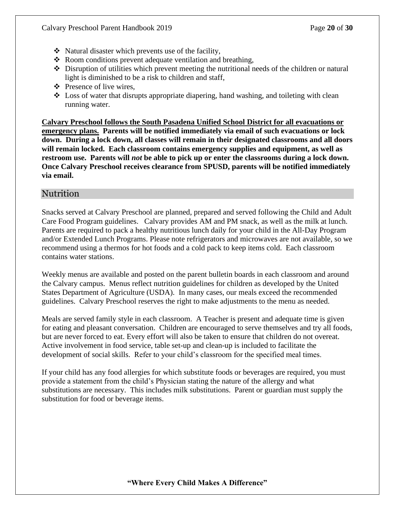- ❖ Natural disaster which prevents use of the facility,
- ❖ Room conditions prevent adequate ventilation and breathing,
- ❖ Disruption of utilities which prevent meeting the nutritional needs of the children or natural light is diminished to be a risk to children and staff,
- ❖ Presence of live wires,
- ❖ Loss of water that disrupts appropriate diapering, hand washing, and toileting with clean running water.

**Calvary Preschool follows the South Pasadena Unified School District for all evacuations or emergency plans. Parents will be notified immediately via email of such evacuations or lock down. During a lock down, all classes will remain in their designated classrooms and all doors will remain locked. Each classroom contains emergency supplies and equipment, as well as restroom use. Parents will** *not* **be able to pick up or enter the classrooms during a lock down. Once Calvary Preschool receives clearance from SPUSD, parents will be notified immediately via email.**

#### Nutrition

Snacks served at Calvary Preschool are planned, prepared and served following the Child and Adult Care Food Program guidelines. Calvary provides AM and PM snack, as well as the milk at lunch. Parents are required to pack a healthy nutritious lunch daily for your child in the All-Day Program and/or Extended Lunch Programs. Please note refrigerators and microwaves are not available, so we recommend using a thermos for hot foods and a cold pack to keep items cold. Each classroom contains water stations.

Weekly menus are available and posted on the parent bulletin boards in each classroom and around the Calvary campus. Menus reflect nutrition guidelines for children as developed by the United States Department of Agriculture (USDA). In many cases, our meals exceed the recommended guidelines. Calvary Preschool reserves the right to make adjustments to the menu as needed.

Meals are served family style in each classroom. A Teacher is present and adequate time is given for eating and pleasant conversation. Children are encouraged to serve themselves and try all foods, but are never forced to eat. Every effort will also be taken to ensure that children do not overeat. Active involvement in food service, table set-up and clean-up is included to facilitate the development of social skills. Refer to your child's classroom for the specified meal times.

If your child has any food allergies for which substitute foods or beverages are required, you must provide a statement from the child's Physician stating the nature of the allergy and what substitutions are necessary. This includes milk substitutions. Parent or guardian must supply the substitution for food or beverage items.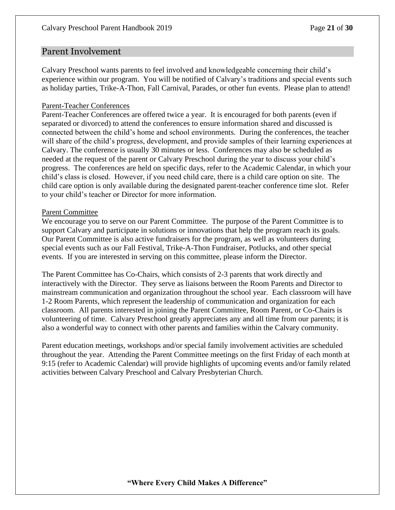#### Parent Involvement

Calvary Preschool wants parents to feel involved and knowledgeable concerning their child's experience within our program. You will be notified of Calvary's traditions and special events such as holiday parties, Trike-A-Thon, Fall Carnival, Parades, or other fun events. Please plan to attend!

#### Parent-Teacher Conferences

Parent-Teacher Conferences are offered twice a year. It is encouraged for both parents (even if separated or divorced) to attend the conferences to ensure information shared and discussed is connected between the child's home and school environments. During the conferences, the teacher will share of the child's progress, development, and provide samples of their learning experiences at Calvary. The conference is usually 30 minutes or less. Conferences may also be scheduled as needed at the request of the parent or Calvary Preschool during the year to discuss your child's progress. The conferences are held on specific days, refer to the Academic Calendar, in which your child's class is closed. However, if you need child care, there is a child care option on site. The child care option is only available during the designated parent-teacher conference time slot. Refer to your child's teacher or Director for more information.

#### Parent Committee

We encourage you to serve on our Parent Committee. The purpose of the Parent Committee is to support Calvary and participate in solutions or innovations that help the program reach its goals. Our Parent Committee is also active fundraisers for the program, as well as volunteers during special events such as our Fall Festival, Trike-A-Thon Fundraiser, Potlucks, and other special events. If you are interested in serving on this committee, please inform the Director.

The Parent Committee has Co-Chairs, which consists of 2-3 parents that work directly and interactively with the Director. They serve as liaisons between the Room Parents and Director to mainstream communication and organization throughout the school year. Each classroom will have 1-2 Room Parents, which represent the leadership of communication and organization for each classroom. All parents interested in joining the Parent Committee, Room Parent, or Co-Chairs is volunteering of time. Calvary Preschool greatly appreciates any and all time from our parents; it is also a wonderful way to connect with other parents and families within the Calvary community.

Parent education meetings, workshops and/or special family involvement activities are scheduled throughout the year. Attending the Parent Committee meetings on the first Friday of each month at 9:15 (refer to Academic Calendar) will provide highlights of upcoming events and/or family related activities between Calvary Preschool and Calvary Presbyterian Church.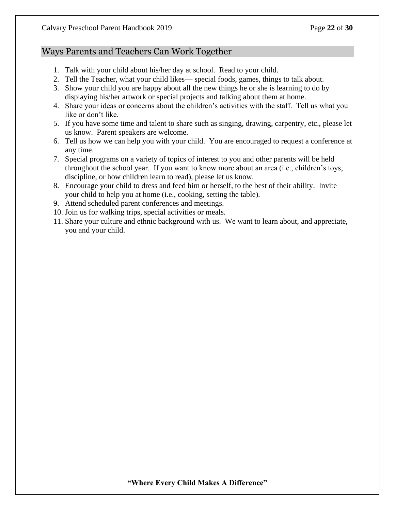#### Ways Parents and Teachers Can Work Together

- 1. Talk with your child about his/her day at school. Read to your child.
- 2. Tell the Teacher, what your child likes— special foods, games, things to talk about.
- 3. Show your child you are happy about all the new things he or she is learning to do by displaying his/her artwork or special projects and talking about them at home.
- 4. Share your ideas or concerns about the children's activities with the staff. Tell us what you like or don't like.
- 5. If you have some time and talent to share such as singing, drawing, carpentry, etc., please let us know. Parent speakers are welcome.
- 6. Tell us how we can help you with your child. You are encouraged to request a conference at any time.
- 7. Special programs on a variety of topics of interest to you and other parents will be held throughout the school year. If you want to know more about an area (i.e., children's toys, discipline, or how children learn to read), please let us know.
- 8. Encourage your child to dress and feed him or herself, to the best of their ability. Invite your child to help you at home (i.e., cooking, setting the table).
- 9. Attend scheduled parent conferences and meetings.
- 10. Join us for walking trips, special activities or meals.
- 11. Share your culture and ethnic background with us. We want to learn about, and appreciate, you and your child.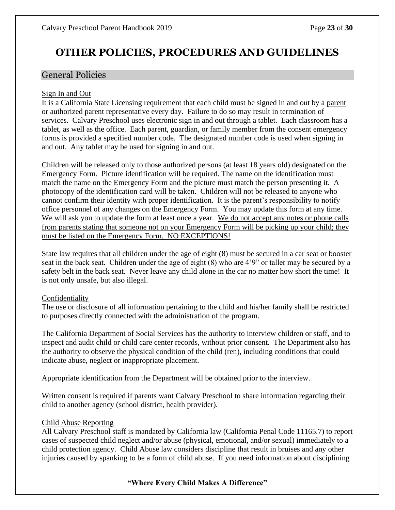# **OTHER POLICIES, PROCEDURES AND GUIDELINES**

#### General Policies

#### Sign In and Out

It is a California State Licensing requirement that each child must be signed in and out by a parent or authorized parent representative every day. Failure to do so may result in termination of services. Calvary Preschool uses electronic sign in and out through a tablet. Each classroom has a tablet, as well as the office. Each parent, guardian, or family member from the consent emergency forms is provided a specified number code. The designated number code is used when signing in and out. Any tablet may be used for signing in and out.

Children will be released only to those authorized persons (at least 18 years old) designated on the Emergency Form. Picture identification will be required. The name on the identification must match the name on the Emergency Form and the picture must match the person presenting it. A photocopy of the identification card will be taken. Children will not be released to anyone who cannot confirm their identity with proper identification. It is the parent's responsibility to notify office personnel of any changes on the Emergency Form. You may update this form at any time. We will ask you to update the form at least once a year. We do not accept any notes or phone calls from parents stating that someone not on your Emergency Form will be picking up your child; they must be listed on the Emergency Form. NO EXCEPTIONS!

State law requires that all children under the age of eight (8) must be secured in a car seat or booster seat in the back seat. Children under the age of eight (8) who are 4'9" or taller may be secured by a safety belt in the back seat. Never leave any child alone in the car no matter how short the time! It is not only unsafe, but also illegal.

#### Confidentiality

The use or disclosure of all information pertaining to the child and his/her family shall be restricted to purposes directly connected with the administration of the program.

The California Department of Social Services has the authority to interview children or staff, and to inspect and audit child or child care center records, without prior consent. The Department also has the authority to observe the physical condition of the child (ren), including conditions that could indicate abuse, neglect or inappropriate placement.

Appropriate identification from the Department will be obtained prior to the interview.

Written consent is required if parents want Calvary Preschool to share information regarding their child to another agency (school district, health provider).

#### Child Abuse Reporting

All Calvary Preschool staff is mandated by California law (California Penal Code 11165.7) to report cases of suspected child neglect and/or abuse (physical, emotional, and/or sexual) immediately to a child protection agency. Child Abuse law considers discipline that result in bruises and any other injuries caused by spanking to be a form of child abuse. If you need information about disciplining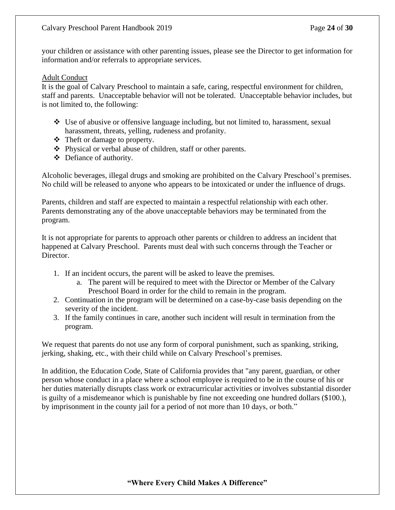your children or assistance with other parenting issues, please see the Director to get information for information and/or referrals to appropriate services.

#### Adult Conduct

It is the goal of Calvary Preschool to maintain a safe, caring, respectful environment for children, staff and parents. Unacceptable behavior will not be tolerated. Unacceptable behavior includes, but is not limited to, the following:

- $\triangle$  Use of abusive or offensive language including, but not limited to, harassment, sexual harassment, threats, yelling, rudeness and profanity.
- ❖ Theft or damage to property.
- ❖ Physical or verbal abuse of children, staff or other parents.
- ❖ Defiance of authority.

Alcoholic beverages, illegal drugs and smoking are prohibited on the Calvary Preschool's premises. No child will be released to anyone who appears to be intoxicated or under the influence of drugs.

Parents, children and staff are expected to maintain a respectful relationship with each other. Parents demonstrating any of the above unacceptable behaviors may be terminated from the program.

It is not appropriate for parents to approach other parents or children to address an incident that happened at Calvary Preschool. Parents must deal with such concerns through the Teacher or Director.

- 1. If an incident occurs, the parent will be asked to leave the premises.
	- a. The parent will be required to meet with the Director or Member of the Calvary Preschool Board in order for the child to remain in the program.
- 2. Continuation in the program will be determined on a case-by-case basis depending on the severity of the incident.
- 3. If the family continues in care, another such incident will result in termination from the program.

We request that parents do not use any form of corporal punishment, such as spanking, striking, jerking, shaking, etc., with their child while on Calvary Preschool's premises.

In addition, the Education Code, State of California provides that "any parent, guardian, or other person whose conduct in a place where a school employee is required to be in the course of his or her duties materially disrupts class work or extracurricular activities or involves substantial disorder is guilty of a misdemeanor which is punishable by fine not exceeding one hundred dollars (\$100.), by imprisonment in the county jail for a period of not more than 10 days, or both."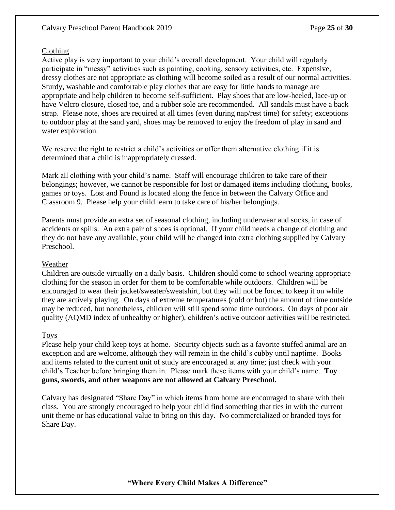#### Clothing

Active play is very important to your child's overall development. Your child will regularly participate in "messy" activities such as painting, cooking, sensory activities, etc. Expensive, dressy clothes are not appropriate as clothing will become soiled as a result of our normal activities. Sturdy, washable and comfortable play clothes that are easy for little hands to manage are appropriate and help children to become self-sufficient. Play shoes that are low-heeled, lace-up or have Velcro closure, closed toe, and a rubber sole are recommended. All sandals must have a back strap. Please note, shoes are required at all times (even during nap/rest time) for safety; exceptions to outdoor play at the sand yard, shoes may be removed to enjoy the freedom of play in sand and water exploration.

We reserve the right to restrict a child's activities or offer them alternative clothing if it is determined that a child is inappropriately dressed.

Mark all clothing with your child's name. Staff will encourage children to take care of their belongings; however, we cannot be responsible for lost or damaged items including clothing, books, games or toys. Lost and Found is located along the fence in between the Calvary Office and Classroom 9. Please help your child learn to take care of his/her belongings.

Parents must provide an extra set of seasonal clothing, including underwear and socks, in case of accidents or spills. An extra pair of shoes is optional. If your child needs a change of clothing and they do not have any available, your child will be changed into extra clothing supplied by Calvary Preschool.

#### Weather

Children are outside virtually on a daily basis. Children should come to school wearing appropriate clothing for the season in order for them to be comfortable while outdoors. Children will be encouraged to wear their jacket/sweater/sweatshirt, but they will not be forced to keep it on while they are actively playing. On days of extreme temperatures (cold or hot) the amount of time outside may be reduced, but nonetheless, children will still spend some time outdoors. On days of poor air quality (AQMD index of unhealthy or higher), children's active outdoor activities will be restricted.

#### Toys

Please help your child keep toys at home. Security objects such as a favorite stuffed animal are an exception and are welcome, although they will remain in the child's cubby until naptime. Books and items related to the current unit of study are encouraged at any time; just check with your child's Teacher before bringing them in. Please mark these items with your child's name. **Toy guns, swords, and other weapons are not allowed at Calvary Preschool.**

Calvary has designated "Share Day" in which items from home are encouraged to share with their class. You are strongly encouraged to help your child find something that ties in with the current unit theme or has educational value to bring on this day. No commercialized or branded toys for Share Day.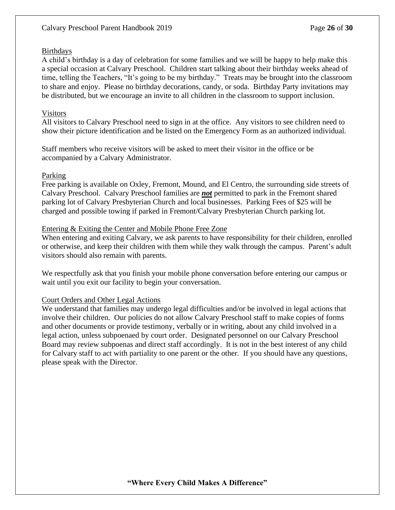#### **Birthdays**

A child's birthday is a day of celebration for some families and we will be happy to help make this a special occasion at Calvary Preschool. Children start talking about their birthday weeks ahead of time, telling the Teachers, "It's going to be my birthday." Treats may be brought into the classroom to share and enjoy. Please no birthday decorations, candy, or soda. Birthday Party invitations may be distributed, but we encourage an invite to all children in the classroom to support inclusion.

#### Visitors

All visitors to Calvary Preschool need to sign in at the office. Any visitors to see children need to show their picture identification and be listed on the Emergency Form as an authorized individual.

Staff members who receive visitors will be asked to meet their visitor in the office or be accompanied by a Calvary Administrator.

#### Parking

Free parking is available on Oxley, Fremont, Mound, and El Centro, the surrounding side streets of Calvary Preschool. Calvary Preschool families are *not* permitted to park in the Fremont shared parking lot of Calvary Presbyterian Church and local businesses. Parking Fees of \$25 will be charged and possible towing if parked in Fremont/Calvary Presbyterian Church parking lot.

#### Entering & Exiting the Center and Mobile Phone Free Zone

When entering and exiting Calvary, we ask parents to have responsibility for their children, enrolled or otherwise, and keep their children with them while they walk through the campus. Parent's adult visitors should also remain with parents.

We respectfully ask that you finish your mobile phone conversation before entering our campus or wait until you exit our facility to begin your conversation.

#### Court Orders and Other Legal Actions

We understand that families may undergo legal difficulties and/or be involved in legal actions that involve their children. Our policies do not allow Calvary Preschool staff to make copies of forms and other documents or provide testimony, verbally or in writing, about any child involved in a legal action, unless subpoenaed by court order. Designated personnel on our Calvary Preschool Board may review subpoenas and direct staff accordingly. It is not in the best interest of any child for Calvary staff to act with partiality to one parent or the other. If you should have any questions, please speak with the Director.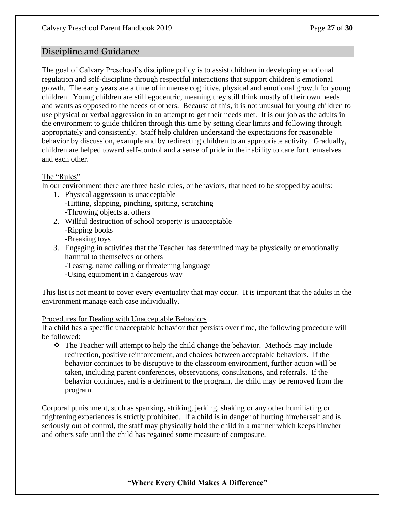## Discipline and Guidance

The goal of Calvary Preschool's discipline policy is to assist children in developing emotional regulation and self-discipline through respectful interactions that support children's emotional growth. The early years are a time of immense cognitive, physical and emotional growth for young children. Young children are still egocentric, meaning they still think mostly of their own needs and wants as opposed to the needs of others. Because of this, it is not unusual for young children to use physical or verbal aggression in an attempt to get their needs met. It is our job as the adults in the environment to guide children through this time by setting clear limits and following through appropriately and consistently. Staff help children understand the expectations for reasonable behavior by discussion, example and by redirecting children to an appropriate activity. Gradually, children are helped toward self-control and a sense of pride in their ability to care for themselves and each other.

#### The "Rules"

In our environment there are three basic rules, or behaviors, that need to be stopped by adults:

- 1. Physical aggression is unacceptable -Hitting, slapping, pinching, spitting, scratching -Throwing objects at others
- 2. Willful destruction of school property is unacceptable -Ripping books -Breaking toys
- 3. Engaging in activities that the Teacher has determined may be physically or emotionally harmful to themselves or others
	- -Teasing, name calling or threatening language
	- -Using equipment in a dangerous way

This list is not meant to cover every eventuality that may occur. It is important that the adults in the environment manage each case individually.

#### Procedures for Dealing with Unacceptable Behaviors

If a child has a specific unacceptable behavior that persists over time, the following procedure will be followed:

❖ The Teacher will attempt to help the child change the behavior. Methods may include redirection, positive reinforcement, and choices between acceptable behaviors. If the behavior continues to be disruptive to the classroom environment, further action will be taken, including parent conferences, observations, consultations, and referrals. If the behavior continues, and is a detriment to the program, the child may be removed from the program.

Corporal punishment, such as spanking, striking, jerking, shaking or any other humiliating or frightening experiences is strictly prohibited. If a child is in danger of hurting him/herself and is seriously out of control, the staff may physically hold the child in a manner which keeps him/her and others safe until the child has regained some measure of composure.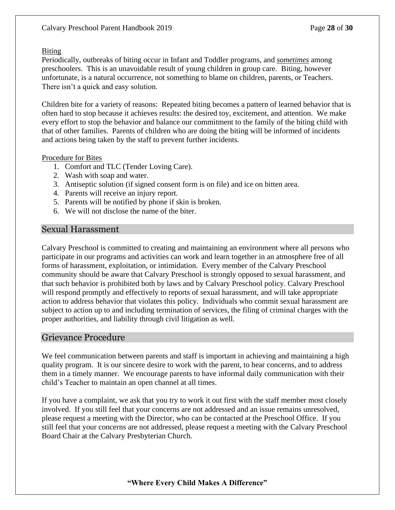#### Biting

Periodically, outbreaks of biting occur in Infant and Toddler programs, and *sometimes* among preschoolers. This is an unavoidable result of young children in group care. Biting, however unfortunate, is a natural occurrence, not something to blame on children, parents, or Teachers. There isn't a quick and easy solution.

Children bite for a variety of reasons: Repeated biting becomes a pattern of learned behavior that is often hard to stop because it achieves results: the desired toy, excitement, and attention. We make every effort to stop the behavior and balance our commitment to the family of the biting child with that of other families. Parents of children who are doing the biting will be informed of incidents and actions being taken by the staff to prevent further incidents.

#### Procedure for Bites

- 1. Comfort and TLC (Tender Loving Care).
- 2. Wash with soap and water.
- 3. Antiseptic solution (if signed consent form is on file) and ice on bitten area.
- 4. Parents will receive an injury report.
- 5. Parents will be notified by phone if skin is broken.
- 6. We will not disclose the name of the biter.

### Sexual Harassment

Calvary Preschool is committed to creating and maintaining an environment where all persons who participate in our programs and activities can work and learn together in an atmosphere free of all forms of harassment, exploitation, or intimidation. Every member of the Calvary Preschool community should be aware that Calvary Preschool is strongly opposed to sexual harassment, and that such behavior is prohibited both by laws and by Calvary Preschool policy. Calvary Preschool will respond promptly and effectively to reports of sexual harassment, and will take appropriate action to address behavior that violates this policy. Individuals who commit sexual harassment are subject to action up to and including termination of services, the filing of criminal charges with the proper authorities, and liability through civil litigation as well.

# Grievance Procedure

We feel communication between parents and staff is important in achieving and maintaining a high quality program. It is our sincere desire to work with the parent, to hear concerns, and to address them in a timely manner. We encourage parents to have informal daily communication with their child's Teacher to maintain an open channel at all times.

If you have a complaint, we ask that you try to work it out first with the staff member most closely involved. If you still feel that your concerns are not addressed and an issue remains unresolved, please request a meeting with the Director, who can be contacted at the Preschool Office. If you still feel that your concerns are not addressed, please request a meeting with the Calvary Preschool Board Chair at the Calvary Presbyterian Church.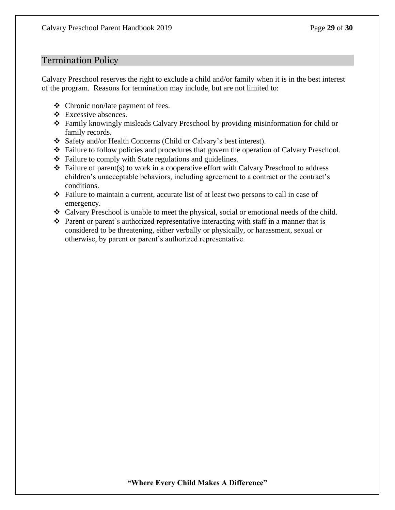#### Termination Policy

Calvary Preschool reserves the right to exclude a child and/or family when it is in the best interest of the program. Reasons for termination may include, but are not limited to:

- ❖ Chronic non/late payment of fees.
- ❖ Excessive absences.
- ❖ Family knowingly misleads Calvary Preschool by providing misinformation for child or family records.
- ❖ Safety and/or Health Concerns (Child or Calvary's best interest).
- ❖ Failure to follow policies and procedures that govern the operation of Calvary Preschool.
- ❖ Failure to comply with State regulations and guidelines.
- ❖ Failure of parent(s) to work in a cooperative effort with Calvary Preschool to address children's unacceptable behaviors, including agreement to a contract or the contract's conditions.
- ❖ Failure to maintain a current, accurate list of at least two persons to call in case of emergency.
- ❖ Calvary Preschool is unable to meet the physical, social or emotional needs of the child.
- ❖ Parent or parent's authorized representative interacting with staff in a manner that is considered to be threatening, either verbally or physically, or harassment, sexual or otherwise, by parent or parent's authorized representative.